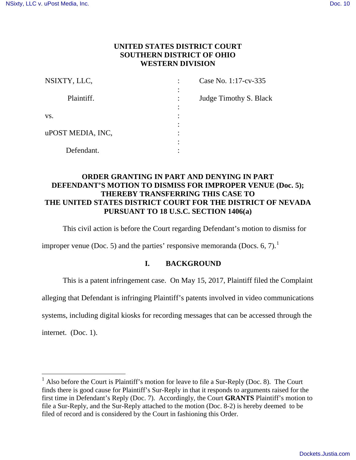# **UNITED STATES DISTRICT COURT SOUTHERN DISTRICT OF OHIO WESTERN DIVISION**

| NSIXTY, LLC,      | Case No. 1:17-cv-335   |
|-------------------|------------------------|
| Plaintiff.        | Judge Timothy S. Black |
| VS.               |                        |
| uPOST MEDIA, INC, |                        |
| Defendant.        |                        |

# **ORDER GRANTING IN PART AND DENYING IN PART DEFENDANT'S MOTION TO DISMISS FOR IMPROPER VENUE (Doc. 5); THEREBY TRANSFERRING THIS CASE TO THE UNITED STATES DISTRICT COURT FOR THE DISTRICT OF NEVADA PURSUANT TO 18 U.S.C. SECTION 1406(a)**

This civil action is before the Court regarding Defendant's motion to dismiss for

improper venue (Doc. 5) and the parties' responsive memoranda (Docs. 6, 7).<sup>1</sup>

## **I. BACKGROUND**

This is a patent infringement case. On May 15, 2017, Plaintiff filed the Complaint

alleging that Defendant is infringing Plaintiff's patents involved in video communications

systems, including digital kiosks for recording messages that can be accessed through the

internet. (Doc. 1).

֦

 $<sup>1</sup>$  Also before the Court is Plaintiff's motion for leave to file a Sur-Reply (Doc. 8). The Court</sup> finds there is good cause for Plaintiff's Sur-Reply in that it responds to arguments raised for the first time in Defendant's Reply (Doc. 7). Accordingly, the Court **GRANTS** Plaintiff's motion to file a Sur-Reply, and the Sur-Reply attached to the motion (Doc. 8-2) is hereby deemed to be filed of record and is considered by the Court in fashioning this Order.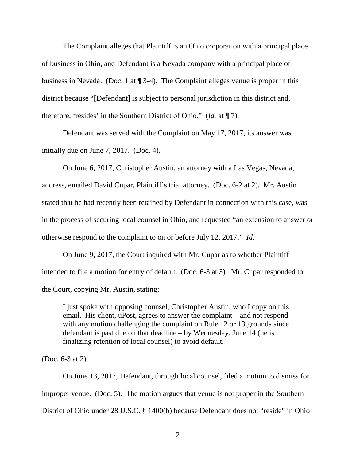The Complaint alleges that Plaintiff is an Ohio corporation with a principal place of business in Ohio, and Defendant is a Nevada company with a principal place of business in Nevada. (Doc. 1 at ¶ 3-4). The Complaint alleges venue is proper in this district because "[Defendant] is subject to personal jurisdiction in this district and, therefore, 'resides' in the Southern District of Ohio." (*Id.* at ¶ 7).

Defendant was served with the Complaint on May 17, 2017; its answer was initially due on June 7, 2017. (Doc. 4).

On June 6, 2017, Christopher Austin, an attorney with a Las Vegas, Nevada, address, emailed David Cupar, Plaintiff's trial attorney. (Doc. 6-2 at 2). Mr. Austin stated that he had recently been retained by Defendant in connection with this case, was in the process of securing local counsel in Ohio, and requested "an extension to answer or otherwise respond to the complaint to on or before July 12, 2017." *Id.*

On June 9, 2017, the Court inquired with Mr. Cupar as to whether Plaintiff intended to file a motion for entry of default. (Doc. 6-3 at 3). Mr. Cupar responded to the Court, copying Mr. Austin, stating:

I just spoke with opposing counsel, Christopher Austin, who I copy on this email. His client, uPost, agrees to answer the complaint – and not respond with any motion challenging the complaint on Rule 12 or 13 grounds since defendant is past due on that deadline – by Wednesday, June 14 (he is finalizing retention of local counsel) to avoid default.

(Doc. 6-3 at 2).

 On June 13, 2017, Defendant, through local counsel, filed a motion to dismiss for improper venue. (Doc. 5). The motion argues that venue is not proper in the Southern District of Ohio under 28 U.S.C. § 1400(b) because Defendant does not "reside" in Ohio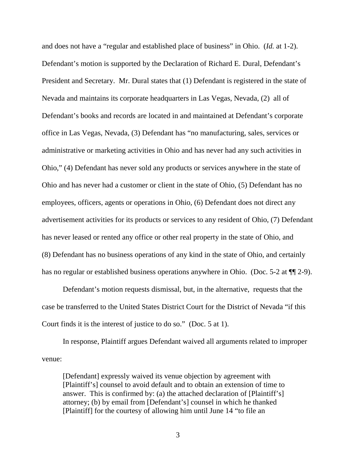and does not have a "regular and established place of business" in Ohio. (*Id.* at 1-2). Defendant's motion is supported by the Declaration of Richard E. Dural, Defendant's President and Secretary. Mr. Dural states that (1) Defendant is registered in the state of Nevada and maintains its corporate headquarters in Las Vegas, Nevada, (2) all of Defendant's books and records are located in and maintained at Defendant's corporate office in Las Vegas, Nevada, (3) Defendant has "no manufacturing, sales, services or administrative or marketing activities in Ohio and has never had any such activities in Ohio," (4) Defendant has never sold any products or services anywhere in the state of Ohio and has never had a customer or client in the state of Ohio, (5) Defendant has no employees, officers, agents or operations in Ohio, (6) Defendant does not direct any advertisement activities for its products or services to any resident of Ohio, (7) Defendant has never leased or rented any office or other real property in the state of Ohio, and (8) Defendant has no business operations of any kind in the state of Ohio, and certainly has no regular or established business operations anywhere in Ohio. (Doc. 5-2 at  $\P$  2-9).

 Defendant's motion requests dismissal, but, in the alternative, requests that the case be transferred to the United States District Court for the District of Nevada "if this Court finds it is the interest of justice to do so." (Doc. 5 at 1).

 In response, Plaintiff argues Defendant waived all arguments related to improper venue:

[Defendant] expressly waived its venue objection by agreement with [Plaintiff's] counsel to avoid default and to obtain an extension of time to answer. This is confirmed by: (a) the attached declaration of [Plaintiff's] attorney; (b) by email from [Defendant's] counsel in which he thanked [Plaintiff] for the courtesy of allowing him until June 14 "to file an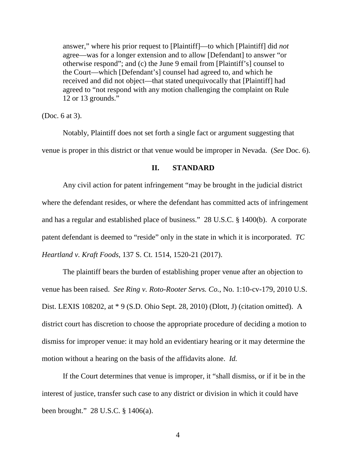answer," where his prior request to [Plaintiff]—to which [Plaintiff] did *not* agree—was for a longer extension and to allow [Defendant] to answer "or otherwise respond"; and (c) the June 9 email from [Plaintiff's] counsel to the Court—which [Defendant's] counsel had agreed to, and which he received and did not object—that stated unequivocally that [Plaintiff] had agreed to "not respond with any motion challenging the complaint on Rule 12 or 13 grounds."

(Doc. 6 at 3).

Notably, Plaintiff does not set forth a single fact or argument suggesting that venue is proper in this district or that venue would be improper in Nevada. (*See* Doc. 6).

### **II. STANDARD**

Any civil action for patent infringement "may be brought in the judicial district where the defendant resides, or where the defendant has committed acts of infringement and has a regular and established place of business." 28 U.S.C. § 1400(b). A corporate patent defendant is deemed to "reside" only in the state in which it is incorporated. *TC Heartland v. Kraft Foods*, 137 S. Ct. 1514, 1520-21 (2017).

The plaintiff bears the burden of establishing proper venue after an objection to venue has been raised. *See Ring v. Roto-Rooter Servs. Co.*, No. 1:10-cv-179, 2010 U.S. Dist. LEXIS 108202, at \* 9 (S.D. Ohio Sept. 28, 2010) (Dlott, J) (citation omitted). A district court has discretion to choose the appropriate procedure of deciding a motion to dismiss for improper venue: it may hold an evidentiary hearing or it may determine the motion without a hearing on the basis of the affidavits alone. *Id.* 

If the Court determines that venue is improper, it "shall dismiss, or if it be in the interest of justice, transfer such case to any district or division in which it could have been brought." 28 U.S.C. § 1406(a).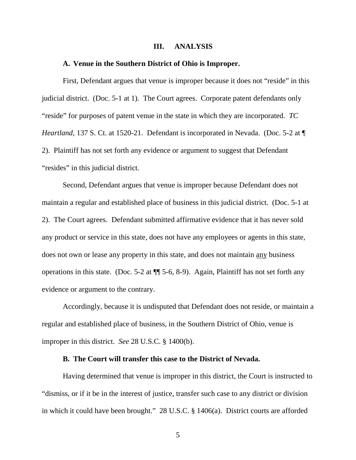#### **III. ANALYSIS**

### **A. Venue in the Southern District of Ohio is Improper.**

First, Defendant argues that venue is improper because it does not "reside" in this judicial district. (Doc. 5-1 at 1). The Court agrees. Corporate patent defendants only "reside" for purposes of patent venue in the state in which they are incorporated. *TC Heartland*, 137 S. Ct. at 1520-21. Defendant is incorporated in Nevada. (Doc. 5-2 at ¶ 2). Plaintiff has not set forth any evidence or argument to suggest that Defendant "resides" in this judicial district.

Second, Defendant argues that venue is improper because Defendant does not maintain a regular and established place of business in this judicial district. (Doc. 5-1 at 2). The Court agrees. Defendant submitted affirmative evidence that it has never sold any product or service in this state, does not have any employees or agents in this state, does not own or lease any property in this state, and does not maintain any business operations in this state. (Doc. 5-2 at ¶¶ 5-6, 8-9). Again, Plaintiff has not set forth any evidence or argument to the contrary.

Accordingly, because it is undisputed that Defendant does not reside, or maintain a regular and established place of business, in the Southern District of Ohio, venue is improper in this district. *See* 28 U.S.C. § 1400(b).

### **B. The Court will transfer this case to the District of Nevada.**

Having determined that venue is improper in this district, the Court is instructed to "dismiss, or if it be in the interest of justice, transfer such case to any district or division in which it could have been brought." 28 U.S.C. § 1406(a). District courts are afforded

5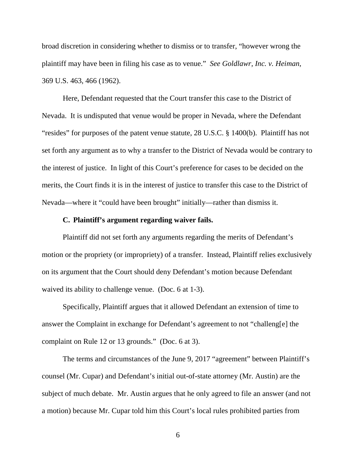broad discretion in considering whether to dismiss or to transfer, "however wrong the plaintiff may have been in filing his case as to venue." *See Goldlawr, Inc. v. Heiman*, 369 U.S. 463, 466 (1962).

Here, Defendant requested that the Court transfer this case to the District of Nevada. It is undisputed that venue would be proper in Nevada, where the Defendant "resides" for purposes of the patent venue statute, 28 U.S.C. § 1400(b). Plaintiff has not set forth any argument as to why a transfer to the District of Nevada would be contrary to the interest of justice. In light of this Court's preference for cases to be decided on the merits, the Court finds it is in the interest of justice to transfer this case to the District of Nevada—where it "could have been brought" initially—rather than dismiss it.

#### **C. Plaintiff's argument regarding waiver fails.**

Plaintiff did not set forth any arguments regarding the merits of Defendant's motion or the propriety (or impropriety) of a transfer. Instead, Plaintiff relies exclusively on its argument that the Court should deny Defendant's motion because Defendant waived its ability to challenge venue. (Doc. 6 at 1-3).

Specifically, Plaintiff argues that it allowed Defendant an extension of time to answer the Complaint in exchange for Defendant's agreement to not "challeng[e] the complaint on Rule 12 or 13 grounds." (Doc. 6 at 3).

The terms and circumstances of the June 9, 2017 "agreement" between Plaintiff's counsel (Mr. Cupar) and Defendant's initial out-of-state attorney (Mr. Austin) are the subject of much debate. Mr. Austin argues that he only agreed to file an answer (and not a motion) because Mr. Cupar told him this Court's local rules prohibited parties from

6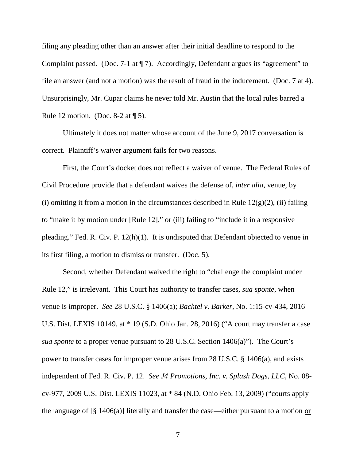filing any pleading other than an answer after their initial deadline to respond to the Complaint passed. (Doc. 7-1 at ¶ 7). Accordingly, Defendant argues its "agreement" to file an answer (and not a motion) was the result of fraud in the inducement. (Doc. 7 at 4). Unsurprisingly, Mr. Cupar claims he never told Mr. Austin that the local rules barred a Rule 12 motion. (Doc. 8-2 at ¶ 5).

Ultimately it does not matter whose account of the June 9, 2017 conversation is correct. Plaintiff's waiver argument fails for two reasons.

First, the Court's docket does not reflect a waiver of venue. The Federal Rules of Civil Procedure provide that a defendant waives the defense of, *inter alia*, venue, by (i) omitting it from a motion in the circumstances described in Rule  $12(g)(2)$ , (ii) failing to "make it by motion under [Rule 12]," or (iii) failing to "include it in a responsive pleading." Fed. R. Civ. P. 12(h)(1). It is undisputed that Defendant objected to venue in its first filing, a motion to dismiss or transfer. (Doc. 5).

Second, whether Defendant waived the right to "challenge the complaint under Rule 12," is irrelevant. This Court has authority to transfer cases, *sua sponte*, when venue is improper. *See* 28 U.S.C. § 1406(a); *Bachtel v. Barker*, No. 1:15-cv-434, 2016 U.S. Dist. LEXIS 10149, at \* 19 (S.D. Ohio Jan. 28, 2016) ("A court may transfer a case *sua sponte* to a proper venue pursuant to 28 U.S.C. Section 1406(a)"). The Court's power to transfer cases for improper venue arises from 28 U.S.C. § 1406(a), and exists independent of Fed. R. Civ. P. 12. *See J4 Promotions, Inc. v. Splash Dogs, LLC*, No. 08 cv-977, 2009 U.S. Dist. LEXIS 11023, at \* 84 (N.D. Ohio Feb. 13, 2009) ("courts apply the language of  $\lceil \frac{8}{9} \cdot 1406(a) \rceil$  literally and transfer the case—either pursuant to a motion or